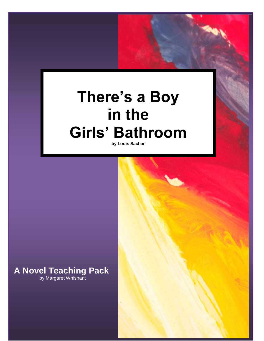# **There's a Boy in the Girls' Bathroom**

**by Louis Sachar**

### **A Novel Teaching Pack** by Margaret Whisnant

Copyright © 2007 Margaret Whisnant **1**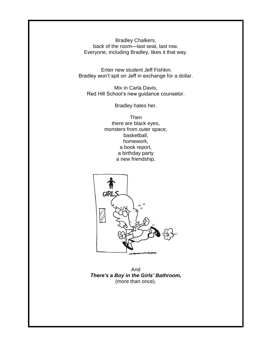Bradley Chalkers, back of the room—last seat, last row. Everyone, including Bradley, likes it that way.

Enter new student Jeff Fishkin. Bradley won't spit on Jeff in exchange for a dollar.

Mix in Carla Davis, Red Hill School's new guidance counselor.

Bradley hates her.

Then there are black eyes, monsters from outer space, basketball, homework, a book report, a birthday party a new friendship,



And *There's a Boy in the Girls' Bathroom,* (more than once).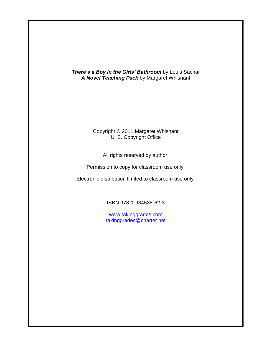*There's a Boy in the Girls' Bathroom* by Louis Sachar *A Novel Teaching Pack* by Margaret Whisnant

### Copyright © 2011 Margaret Whisnant U. S. Copyright Office

All rights reserved by author.

Permission to copy for classroom use only.

Electronic distribution limited to classroom use only.

ISBN 978-1-934538-62-3

[www.takinggrades.com](http://www.takinggrades.com/) [takinggrades@charter.net](mailto:takinggrades@charter.net)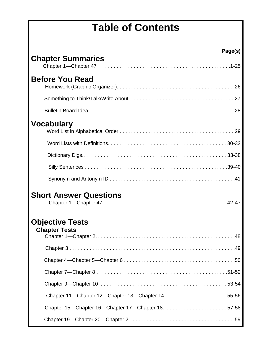## **Table of Contents**

| Page(s)                                            |  |
|----------------------------------------------------|--|
| <b>Chapter Summaries</b>                           |  |
| <b>Before You Read</b>                             |  |
|                                                    |  |
|                                                    |  |
| <b>Vocabulary</b>                                  |  |
|                                                    |  |
|                                                    |  |
|                                                    |  |
|                                                    |  |
| <b>Short Answer Questions</b>                      |  |
| <b>Objective Tests</b><br><b>Chapter Tests</b>     |  |
|                                                    |  |
|                                                    |  |
|                                                    |  |
|                                                    |  |
| Chapter 11—Chapter 12—Chapter 13—Chapter 14  55-56 |  |
| Chapter 15—Chapter 16—Chapter 17—Chapter 18. 57-58 |  |
|                                                    |  |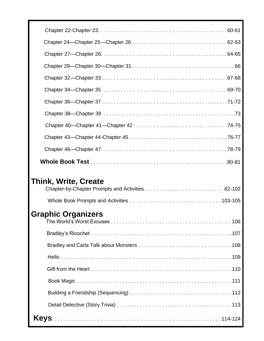| Think, Write, Create      |
|---------------------------|
|                           |
|                           |
|                           |
| <b>Graphic Organizers</b> |
|                           |
|                           |
|                           |
|                           |
|                           |
|                           |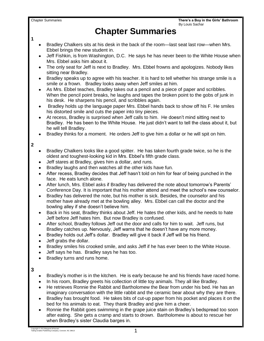**1**

### **Chapter Summaries**

- Bradley Chalkers sits at his desk in the back of the room—last seat last row—when Mrs. Ebbel brings the new student in.
- Jeff Fishkin, is from Washington, D.C. He says he has never been to the White House when Mrs. Ebbel asks him about it.
- The only seat for Jeff is next to Bradley. Mrs. Ebbel frowns and apologizes. Nobody likes sitting near Bradley.
- Bradley speaks up to agree with his teacher. It is hard to tell whether his strange smile is a smile or a frown. Bradley looks away when Jeff smiles at him.
- As Mrs. Ebbel teaches, Bradley takes out a pencil and a piece of paper and scribbles. When the pencil point breaks, he laughs and tapes the broken point to the gobs of junk in his desk. He sharpens his pencil, and scribbles again.
- Bradley holds up the language paper Mrs. Ebbel hands back to show off his F. He smiles his distorted smile and cuts the paper into tiny pieces.
- At recess, Bradley is surprised when Jeff calls to him. He doesn't mind sitting next to Bradley. He has been to the White House. He just didn't want to tell the class about it, but he will tell Bradley.
- Bradley thinks for a moment. He orders Jeff to give him a dollar or he will spit on him.

#### **2**

- Bradley Chalkers looks like a good spitter. He has taken fourth grade twice, so he is the oldest and toughest-looking kid in Mrs. Ebbel's fifth grade class.
- Jeff stares at Bradley, gives him a dollar, and runs.
- Bradley laughs and then watches all the other kids have fun.  $\bullet$
- After recess, Bradley decides that Jeff hasn't told on him for fear of being punched in the face. He eats lunch alone.
- After lunch, Mrs. Ebbel asks if Bradley has delivered the note about tomorrow's Parents' Conference Day. It is important that his mother attend and meet the school's new counselor.
- Bradley has delivered the note, but his mother is sick. Besides, the counselor and his mother have already met at the bowling alley. Mrs. Ebbel can call the doctor and the bowling alley if she doesn't believe him.
- Back in his seat, Bradley thinks about Jeff. He hates the other kids, and he needs to hate Jeff before Jeff hates him. But now Bradley is confused.
- After school, Bradley follows Jeff out the door and calls for him to wait. Jeff runs, but Bradley catches up. Nervously, Jeff warns that he doesn't have any more money.
- Bradley holds out Jeff's dollar. Bradley will give it back if Jeff will be his friend.
- Jeff grabs the dollar.
- Bradley smiles his crooked smile, and asks Jeff if he has ever been to the White House.
- Jeff says he has. Bradley says he has too.
- Bradley turns and runs home.

#### **3**

- Bradley's mother is in the kitchen. He is early because he and his friends have raced home.
- In his room, Bradley greets his collection of little toy animals. They all like Bradley.
- He retrieves Ronnie the Rabbit and Bartholomew the Bear from under his bed. He has an imaginary conversation with the little rabbit and the ceramic bear about why they are there.
- Bradley has brought food. He takes bits of cut-up paper from his pocket and places it on the bed for his animals to eat. They thank Bradley and give him a cheer.
- Ronnie the Rabbit goes swimming in the grape juice stain on Bradley's bedspread too soon after eating. She gets a cramp and starts to drown. Bartholomew is about to rescue her when Bradley's sister Claudia barges in.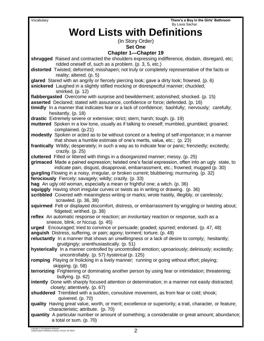Vocabulary **There's a Boy in the Girls' Bathroom**

| By Louis Sachar                                                                                                                                                                                                                                                                    |
|------------------------------------------------------------------------------------------------------------------------------------------------------------------------------------------------------------------------------------------------------------------------------------|
| <b>Word Lists with Definitions</b>                                                                                                                                                                                                                                                 |
| (In Story Order)                                                                                                                                                                                                                                                                   |
| <b>Set One</b>                                                                                                                                                                                                                                                                     |
| <b>Chapter 1-Chapter 19</b>                                                                                                                                                                                                                                                        |
| shrugged Raised and contracted the shoulders expressing indifference, disdain, disregard, etc;<br>ridded oneself of, such as a problem. (p. 3, 5, etc.)                                                                                                                            |
| distorted Twisted; deformed; misshapen; not truly or completely representative of the facts or<br>reality; altered. (p. 5)                                                                                                                                                         |
| glared Stared with an angrily or fiercely piercing look; gave a dirty look; frowned. (p. 6)<br>snickered Laughed in a slightly stifled mocking or disrespectful manner; chuckled;<br>smirked. (p. 12)                                                                              |
| flabbergasted Overcome with surprise and bewilderment; astonished; shocked. (p. 15)                                                                                                                                                                                                |
| asserted Declared; stated with assurance, confidence or force; defended. (p. 16)<br>timidly In a manner that indicates fear or a lack of confidence; bashfully; nervously; carefully;<br>hesitantly. (p. 18)                                                                       |
| drastic Extremely severe or extensive; strict; stern; harsh; tough. (p. 19)                                                                                                                                                                                                        |
| muttered Spoken in a low tone, usually as if talking to oneself; mumbled, grumbled; groaned;                                                                                                                                                                                       |
| complained. (p.21)                                                                                                                                                                                                                                                                 |
| modestly Spoken or acted as to be without conceit or a feeling of self-importance; in a manner<br>that shows a humble estimate of one's merits, value, etc.; (p. 23)                                                                                                               |
| frantically Wildly; desperately; in such a way as to indicate fear or panic; frenziedly; excitedly;<br>crazily. $(p. 25)$                                                                                                                                                          |
| cluttered Filled or littered with things in a disorganized manner; messy. (p. 25)                                                                                                                                                                                                  |
| grimaced Made a pained expression; twisted one's facial expression, often into an ugly state, to<br>indicate pain, disgust, disapproval, embarrassment, etc.; frowned; mugged (p. 30)<br>gurgling Flowing in a noisy, irregular, or broken current; blubbering; murmuring. (p. 32) |
| ferociously Fiercely; savagely; wildly; crazily. (p. 33)                                                                                                                                                                                                                           |
| hag An ugly old woman, especially a mean or frightful one; a witch. (p. 36)                                                                                                                                                                                                        |
| squiggly Having short irregular curves or twists as in writing or drawing. (p. 36)                                                                                                                                                                                                 |
| scribbled Covered with meaningless writing or marks; wrote hastily, illegibly, or carelessly;<br>scrawled. (p. 36, 38)                                                                                                                                                             |
| squirmed Felt or displayed discomfort, distress, or embarrassment by wriggling or twisting about;                                                                                                                                                                                  |
| fidgeted; writhed. (p. 38)                                                                                                                                                                                                                                                         |
| reflex An automatic response or reaction; an involuntary reaction or response, such as a                                                                                                                                                                                           |
| sneeze, blink, or hiccup. (p. 45)                                                                                                                                                                                                                                                  |
| urged Encouraged; tried to convince or persuade; goaded; spurred; endorsed. (p. 47, 48)                                                                                                                                                                                            |
| anguish Distress, suffering, or pain; agony; torment; torture. (p. 49)                                                                                                                                                                                                             |
| reluctantly In a manner that shows an unwillingness or a lack of desire to comply; hesitantly;<br>grudgingly; unenthusiastically. (p. 51)                                                                                                                                          |
| hysterically In a manner controlled by uncontrolled emotion; uproariously; deliriously; excitedly;<br>uncontrollably. (p. 57) hysterical (p. 125)                                                                                                                                  |
| romping Playing or frolicking in a lively manner; running or going without effort; playing;<br>skipping. (p. 58)                                                                                                                                                                   |
| terrorizing Frightening or dominating another person by using fear or intimidation; threatening;<br>bullying. (p. 62)                                                                                                                                                              |
| intently Done with sharply focused attention or determination; in a manner not easily distracted;<br>closely; attentively. (p. 67)                                                                                                                                                 |
| shuddered Trembled with a sudden, convulsive movement, as from fear or cold; shook;<br>quivered. (p. 70)                                                                                                                                                                           |
| quality Having great value, worth, or merit; excellence or superiority; a trait, character, or feature;<br>characteristic; attribute. (p. 70)                                                                                                                                      |
| quantity A particular number or amount of something; a considerable or great amount; abundance;<br>a total or sum. (p. 70)                                                                                                                                                         |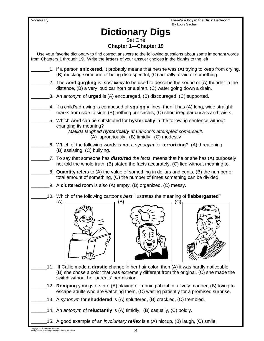Vocabulary **There's a Boy in the Girls' Bathroom** By Louis Sachar **Dictionary Digs** Set One **Chapter 1—Chapter 19** Use your favorite dictionary to find correct answers to the following questions about some important words from Chapters 1 through 19. Write the **letters** of your answer choices in the blanks to the left. \_\_\_\_\_\_\_1. If a person **snickered**, it probably means that he/she was (A) trying to keep from crying, (B) mocking someone or being disrespectful, (C) actually afraid of something. \_\_\_\_\_\_\_2. The word **gurgling** is *most likely* to be used to describe the sound of (A) thunder in the distance, (B) a very loud car horn or a siren, (C) water going down a drain. \_\_\_\_\_\_\_3. An *antonym* of **urged** is (A) encouraged, (B) discouraged, (C) supported. \_\_\_\_\_\_\_4. If a child's drawing is composed of **squiggly** lines, then it has (A) long, wide straight marks from side to side, (B) nothing but circles, (C) short irregular curves and twists. \_\_\_\_\_\_\_5. Which word can be substituted for **hysterically** in the following sentence without changing its meaning? *Matilda laughed hysterically at Landon's attempted somersault.* (A) uproariously, (B) timidly, (C) modestly \_\_\_\_\_\_\_6. Which of the following words is **not** a *synonym* for **terrorizing**? (A) threatening, (B) assisting, (C) bullying. \_\_\_\_\_\_\_7. To say that someone has *distorted the facts*, means that he or she has (A) purposely not told the whole truth, (B) stated the facts accurately, (C) lied without meaning to. \_\_\_\_\_\_\_8. **Quantity** refers to (A) the value of something in dollars and cents, (B) the number or total amount of something, (C) the number of times something can be divided. \_\_\_\_\_\_\_9. A **cluttered** room is also (A) empty, (B) organized, (C) messy. \_\_\_\_\_\_10. Which of the following cartoons *best* illustrates the meaning of **flabbergasted**?  $(A)$   $(B)$   $(C)$ \_\_\_\_\_\_11. If Callie made a **drastic** change in her hair color, then (A) it was hardly noticeable, (B) she chose a color that was extremely different from the original, (C) she made the switch without her parents' permission. \_\_\_\_\_\_12. **Romping** youngsters are (A) playing or running about in a lively manner, (B) trying to escape adults who are watching them, (C) waiting patiently for a promised surprise. 13. A *synonym* for **shuddered** is (A) spluttered, (B) crackled, (C) trembled. \_\_\_\_\_\_14. An *antonym* of **reluctantly** is (A) timidly, (B) casually, (C) boldly. \_\_\_\_\_\_15. A good example of an *involuntary reflex* is a (A) hiccup, (B) laugh, (C) smile.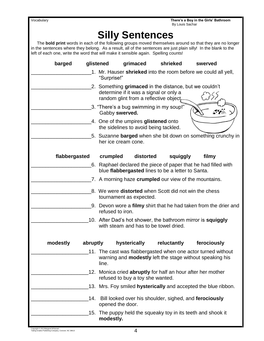| Vocabulary |
|------------|
|------------|

# **Silly Sentences**

 The **bold print** words in each of the following groups moved themselves around so that they are no longer in the sentences where they belong. As a result, all of the sentences are just plain silly! In the blank to the left of each one, write the word that will make it sensible again. Spelling counts!

| barged               | glistened                                                                            | grimaced                                                                         | shrieked    | swerved                                                                                                                         |  |
|----------------------|--------------------------------------------------------------------------------------|----------------------------------------------------------------------------------|-------------|---------------------------------------------------------------------------------------------------------------------------------|--|
|                      | "Surprise!"                                                                          |                                                                                  |             | 1. Mr. Hauser shrieked into the room before we could all yell,                                                                  |  |
|                      |                                                                                      | determine if it was a signal or only a<br>random glint from a reflective object. |             | 2. Something grimaced in the distance, but we couldn't                                                                          |  |
|                      | Gabby swerved.                                                                       | 3. "There's a bug swimming in my soup!"                                          |             | $\sim$ 75                                                                                                                       |  |
|                      |                                                                                      | 4. One of the umpires glistened onto<br>the sidelines to avoid being tackled.    |             |                                                                                                                                 |  |
|                      |                                                                                      | her ice cream cone.                                                              |             | 5. Suzanne <b>barged</b> when she bit down on something crunchy in                                                              |  |
| flabbergasted        | crumpled                                                                             | distorted                                                                        | squiggly    | filmy                                                                                                                           |  |
|                      |                                                                                      | blue flabbergasted lines to be a letter to Santa.                                |             | 6. Raphael declared the piece of paper that he had filled with                                                                  |  |
|                      |                                                                                      |                                                                                  |             | 7. A morning haze <b>crumpled</b> our view of the mountains.                                                                    |  |
|                      |                                                                                      | tournament as expected.                                                          |             | 8. We were <b>distorted</b> when Scott did not win the chess                                                                    |  |
|                      | 9. Devon wore a filmy shirt that he had taken from the drier and<br>refused to iron. |                                                                                  |             |                                                                                                                                 |  |
|                      |                                                                                      | with steam and has to be towel dried.                                            |             | 10. After Dad's hot shower, the bathroom mirror is squiggly                                                                     |  |
| modestly<br>abruptly |                                                                                      | hysterically                                                                     | reluctantly | ferociously                                                                                                                     |  |
|                      | line.                                                                                |                                                                                  |             | 11. The cast was flabbergasted when one actor turned without<br>warning and <b>modestly</b> left the stage without speaking his |  |
| 12.                  |                                                                                      | refused to buy a toy she wanted.                                                 |             | Monica cried <b>abruptly</b> for half an hour after her mother                                                                  |  |
|                      |                                                                                      |                                                                                  |             | 13. Mrs. Foy smiled hysterically and accepted the blue ribbon.                                                                  |  |
| 14.                  | opened the door.                                                                     |                                                                                  |             | Bill looked over his shoulder, sighed, and ferociously                                                                          |  |
| .15.                 | modestly.                                                                            |                                                                                  |             | The puppy held the squeaky toy in its teeth and shook it                                                                        |  |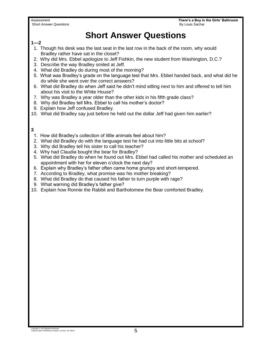Short Answer Questions **By Louis Sachar** By Louis Sachar **By Louis Sachar** By Louis Sachar **By Louis Sachar** 

Assessment **There's a Boy in the Girls' Bathroom**

### **Short Answer Questions**

### **1—2**

- 1. Though his desk was the last seat in the last row in the back of the room, why would Bradley rather have sat in the closet?
- 2. Why did Mrs. Ebbel apologize to Jeff Fishkin, the new student from Washington, D.C.?
- 3. Describe the way Bradley smiled at Jeff.
- 4. What did Bradley do during most of the morning?
- 5. What was Bradley's grade on the language test that Mrs. Ebbel handed back, and what did he do while she went over the correct answers?
- 6. What did Bradley do when Jeff said he didn't mind sitting next to him and offered to tell him about his visit to the White House?
- 7. Why was Bradley a year older than the other kids in his fifth grade class?
- 8. Why did Bradley tell Mrs. Ebbel to call his mother's doctor?
- 9. Explain how Jeff confused Bradley.
- 10. What did Bradley say just before he held out the dollar Jeff had given him earlier?

#### **3**

- 1. How did Bradley's collection of little animals feel about him?
- 2. What did Bradley do with the language test he had cut into little bits at school?
- 3. Why did Bradley tell his sister to call his teacher?
- 4. Why had Claudia bought the bear for Bradley?
- 5. What did Bradley do when he found out Mrs. Ebbel had called his mother and scheduled an appointment with her for eleven o'clock the next day?
- 6. Explain why Bradley's father often came home grumpy and short-tempered.
- 7. According to Bradley, what promise was his mother breaking?
- 8. What did Bradley do that caused his father to turn purple with rage?
- 9. What warning did Bradley's father give?
- 10. Explain how Ronnie the Rabbit and Bartholomew the Bear comforted Bradley.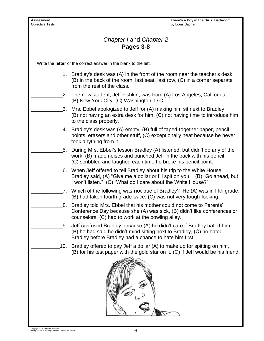Assessment **There's a Boy in the Girls' Bathroom**<br> **Assessment There's a Boy in the Girls' Bathroom**<br> **Objective Tests** by Louis Sachar *Chapter I* and *Chapter 2* **Pages 3-8** Write the **letter** of the correct answer in the blank to the left. \_\_\_\_\_\_\_\_\_\_\_1. Bradley's desk was (A) in the front of the room near the teacher's desk, (B) in the back of the room, last seat, last row, (C) in a corner separate from the rest of the class. 2. The new student, Jeff Fishkin, was from (A) Los Angeles, California, (B) New York City, (C) Washington, D.C. \_\_\_\_\_\_\_\_\_\_\_3. Mrs. Ebbel apologized to Jeff for (A) making him sit next to Bradley, (B) not having an extra desk for him, (C) not having time to introduce him to the class properly. \_\_\_\_\_\_\_\_\_\_\_4. Bradley's desk was (A) empty, (B) full of taped-together paper, pencil points, erasers and other stuff, (C) exceptionally neat because he never took anything from it. 5. During Mrs. Ebbel's lesson Bradley (A) listened, but didn't do any of the work, (B) made noises and punched Jeff in the back with his pencil, (C) scribbled and laughed each time he broke his pencil point. 6. When Jeff offered to tell Bradley about his trip to the White House, Bradley said, (A) "Give me a dollar or I'll spit on you." (B) "Go ahead, but I won't listen." (C) "What do I care about the White House?" \_\_\_\_\_\_\_\_\_\_\_7. Which of the following was **not** true of Bradley? He (A) was in fifth grade, (B) had taken fourth grade twice, (C) was not very tough-looking. 8. Bradley told Mrs. Ebbel that his mother could not come to Parents' Conference Day because she (A) was sick, (B) didn't like conferences or counselors, (C) had to work at the bowling alley. \_\_\_\_\_\_\_\_\_\_\_9. Jeff confused Bradley because (A) he didn't care if Bradley hated him, (B) he had said he didn't mind sitting next to Bradley, (C) he hated Bradley before Bradley had a chance to hate him first. 10. Bradley offered to pay Jeff a dollar (A) to make up for spitting on him, (B) for his test paper with the gold star on it, (C) if Jeff would be his friend.  $\overline{\phantom{a}}$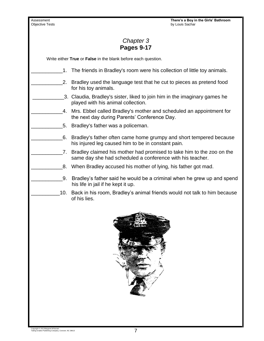Assessment **There's a Boy in the Girls' Bathroom**<br> **Assessment There's a Boy in the Girls' Bathroom**<br> **Objective Tests** by Louis Sachar

### *Chapter 3* **Pages 9-17**

Write either **True** or **False** in the blank before each question.

- 1. The friends in Bradley's room were his collection of little toy animals.
	- 2. Bradley used the language test that he cut to pieces as pretend food for his toy animals.
	- \_\_\_\_\_\_\_\_\_\_\_3. Claudia, Bradley's sister, liked to join him in the imaginary games he played with his animal collection.
	- \_\_\_\_\_\_\_\_\_\_\_4. Mrs. Ebbel called Bradley's mother and scheduled an appointment for the next day during Parents' Conference Day.
	- \_\_\_\_\_\_\_\_\_\_\_5. Bradley's father was a policeman.
	- \_\_\_\_\_\_\_\_\_\_\_6. Bradley's father often came home grumpy and short tempered because his injured leg caused him to be in constant pain.
	- 7. Bradley claimed his mother had promised to take him to the zoo on the same day she had scheduled a conference with his teacher.
	- \_\_\_\_\_\_\_\_\_\_\_8. When Bradley accused his mother of lying, his father got mad.
	- \_\_\_\_\_\_\_\_\_\_\_9. Bradley's father said he would be a criminal when he grew up and spend his life in jail if he kept it up.
	- 10. Back in his room, Bradley's animal friends would not talk to him because of his lies.

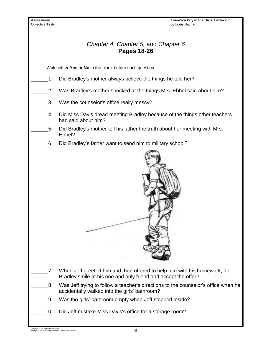Assessment **There's a Boy in the Girls' Bathroom**<br>
Objective Tests **There's a Boy in the Girls' Bathroom**<br>
by Louis Sachar by Louis Sachar *Chapter 4, Chapter 5,* and *Chapter 6* **Pages 18-26** Write either **Yes** or **No** in the blank before each question. 1. Did Bradley's mother always believe the things he told her? 2. Was Bradley's mother shocked at the things Mrs. Ebbel said about him? 3. Was the counselor's office really messy? \_\_\_\_\_\_4. Did Miss Davis dread meeting Bradley because of the things other teachers had said about him? \_\_\_\_\_\_5. Did Bradley's mother tell his father the truth about her meeting with Mrs. Ebbel? \_\_\_\_\_\_6. Did Bradley's father want to send him to military school? \_\_\_\_\_\_7. When Jeff greeted him and then offered to help him with his homework, did Bradley smile at his one and only friend and accept the offer? \_8. Was Jeff trying to follow a teacher's directions to the counselor's office when he accidentally walked into the girls' bathroom? \_\_\_\_\_\_9. Was the girls' bathroom empty when Jeff stepped inside? \_\_\_\_\_10. Did Jeff mistake Miss Davis's office for a storage room?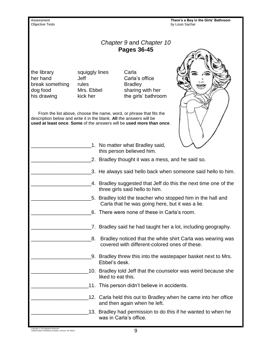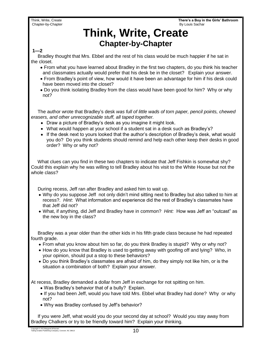Think, Write, Create **There's a Boy in the Girls' Bathroom**

### **Think, Write, Create Chapter-by-Chapter**

#### **1—2**

 Bradley thought that Mrs. Ebbel and the rest of his class would be much happier if he sat in the closet.

- From what you have learned about Bradley in the first two chapters, do you think his teacher and classmates actually would prefer that his desk be in the closet? Explain your answer.
- From Bradley's point of view, how would it have been an advantage for him if his desk could have been moved into the closet?
- Do you think isolating Bradley from the class would have been good for him? Why or why not?

 The author wrote that Bradley's desk *was full of little wads of torn paper, pencil points, chewed erasers, and other unrecognizable stuff, all taped together.*

- Draw a picture of Bradley's desk as you imagine it might look.
- What would happen at your school if a student sat in a desk such as Bradley's?
- If the desk next to yours looked that the author's description of Bradley's desk, what would you do? Do you think students should remind and help each other keep their desks in good order? Why or why not?

 What clues can you find in these two chapters to indicate that Jeff Fishkin is somewhat shy? Could this explain why he was willing to tell Bradley about his visit to the White House but not the whole class?

During recess, Jeff ran after Bradley and asked him to wait up.

- Why do you suppose Jeff not only didn't mind sitting next to Bradley but also talked to him at recess?. *Hint*: What information and experience did the rest of Bradley's classmates have that Jeff did not?
- What, if anything, did Jeff and Bradley have in common? *Hint:* How was Jeff an "outcast" as the new boy in the class?

 Bradley was a year older than the other kids in his fifth grade class because he had repeated fourth grade.

- From what you know about him so far, do you think Bradley is stupid? Why or why not?
- How do you know that Bradley is used to getting away with goofing off and lying? Who, in your opinion, should put a stop to these behaviors?
- Do you think Bradley's classmates are afraid of him, do they simply not like him, or is the situation a combination of both? Explain your answer.

At recess, Bradley demanded a dollar from Jeff in exchange for not spitting on him.

- Was Bradley's behavior that of a bully? Explain.
- If you had been Jeff, would you have told Mrs. Ebbel what Bradley had done? Why or why not?
- Why was Bradley confused by Jeff's behavior?

 If you were Jeff, what would you do your second day at school? Would you stay away from Bradley Chalkers or try to be friendly toward him? Explain your thinking.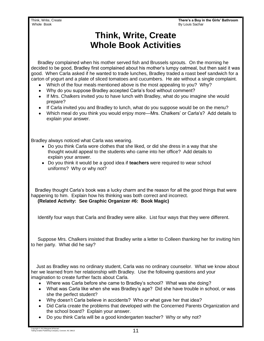Think, Write, Create **There's a Boy in the Girls' Bathroom** By Louis Sachar

### **Think, Write, Create Whole Book Activities**

 Bradley complained when his mother served fish and Brussels sprouts. On the morning he decided to be good, Bradley first complained about his mother's lumpy oatmeal, but then said it was good. When Carla asked if he wanted to trade lunches, Bradley traded a roast beef sandwich for a carton of yogurt and a plate of sliced tomatoes and cucumbers. He ate without a single complaint.

- Which of the four meals mentioned above is the most appealing to you? Why?
- Why do you suppose Bradley accepted Carla's food without comment?
- If Mrs. Chalkers invited you to have lunch with Bradley, what do you imagine she would prepare?
- If Carla invited you and Bradley to lunch, what do you suppose would be on the menu?
- Which meal do you think you would enjoy more—Mrs. Chalkers' or Carla's? Add details to explain your answer.

Bradley always noticed what Carla was wearing.

- Do you think Carla wore clothes that she liked, or did she dress in a way that she thought would appeal to the students who came into her office? Add details to explain your answer.
- Do you think it would be a good idea if **teachers** were required to wear school uniforms? Why or why not?

 Bradley thought Carla's book was a lucky charm and the reason for all the good things that were happening to him. Explain how his thinking was both correct and incorrect.  **(Related Activity: See Graphic Organizer #6: Book Magic)**

Identify four ways that Carla and Bradley were alike. List four ways that they were different.

 Suppose Mrs. Chalkers insisted that Bradley write a letter to Colleen thanking her for inviting him to her party. What did he say?

 Just as Bradley was no ordinary student, Carla was no ordinary counselor. What we know about her we learned from her relationship with Bradley. Use the following questions and your imagination to create further facts about Carla.

- Where was Carla before she came to Bradley's school? What was she doing?
- What was Carla like when she was Bradley's age? Did she have trouble in school, or was she the perfect student?
- Why doesn't Carla believe in accidents? Who or what gave her that idea?
- Did Carla create the problems that developed with the Concerned Parents Organization and the school board? Explain your answer.
- Do you think Carla will be a good kindergarten teacher? Why or why not?